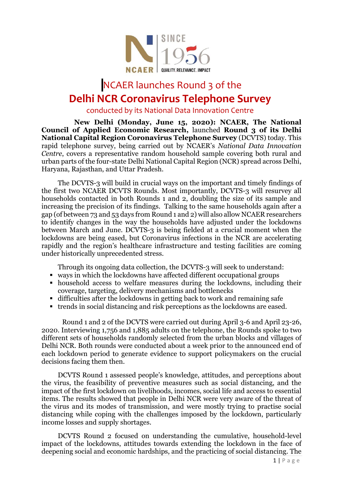

## NCAER launches Round 3 of the **Delhi NCR Coronavirus Telephone Survey**

conducted by its National Data Innovation Centre

**New Delhi (Monday, June 15, 2020): NCAER, The National Council of Applied Economic Research,** launched **Round 3 of its Delhi National Capital Region Coronavirus Telephone Survey** (DCVTS) today. This rapid telephone survey, being carried out by NCAER's *National Data Innovation Centre*, covers a representative random household sample covering both rural and urban parts of the four-state Delhi National Capital Region (NCR) spread across Delhi, Haryana, Rajasthan, and Uttar Pradesh.

The DCVTS-3 will build in crucial ways on the important and timely findings of the first two NCAER DCVTS Rounds. Most importantly, DCVTS-3 will resurvey all households contacted in both Rounds 1 and 2, doubling the size of its sample and increasing the precision of its findings. Talking to the same households again after a gap (of between 73 and 53 days from Round 1 and 2) will also allow NCAER researchers to identify changes in the way the households have adjusted under the lockdowns between March and June. DCVTS-3 is being fielded at a crucial moment when the lockdowns are being eased, but Coronavirus infections in the NCR are accelerating rapidly and the region's healthcare infrastructure and testing facilities are coming under historically unprecedented stress.

Through its ongoing data collection, the DCVTS-3 will seek to understand:

- ways in which the lockdowns have affected different occupational groups
- household access to welfare measures during the lockdowns, including their coverage, targeting, delivery mechanisms and bottlenecks
- difficulties after the lockdowns in getting back to work and remaining safe
- trends in social distancing and risk perceptions as the lockdowns are eased.

Round 1 and 2 of the DCVTS were carried out during April 3-6 and April 23-26, 2020. Interviewing 1,756 and 1,885 adults on the telephone, the Rounds spoke to two different sets of households randomly selected from the urban blocks and villages of Delhi NCR. Both rounds were conducted about a week prior to the announced end of each lockdown period to generate evidence to support policymakers on the crucial decisions facing them then.

DCVTS Round 1 assessed people's knowledge, attitudes, and perceptions about the virus, the feasibility of preventive measures such as social distancing, and the impact of the first lockdown on livelihoods, incomes, social life and access to essential items. The results showed that people in Delhi NCR were very aware of the threat of the virus and its modes of transmission, and were mostly trying to practise social distancing while coping with the challenges imposed by the lockdown, particularly income losses and supply shortages.

DCVTS Round 2 focused on understanding the cumulative, household-level impact of the lockdowns, attitudes towards extending the lockdown in the face of deepening social and economic hardships, and the practicing of social distancing. The